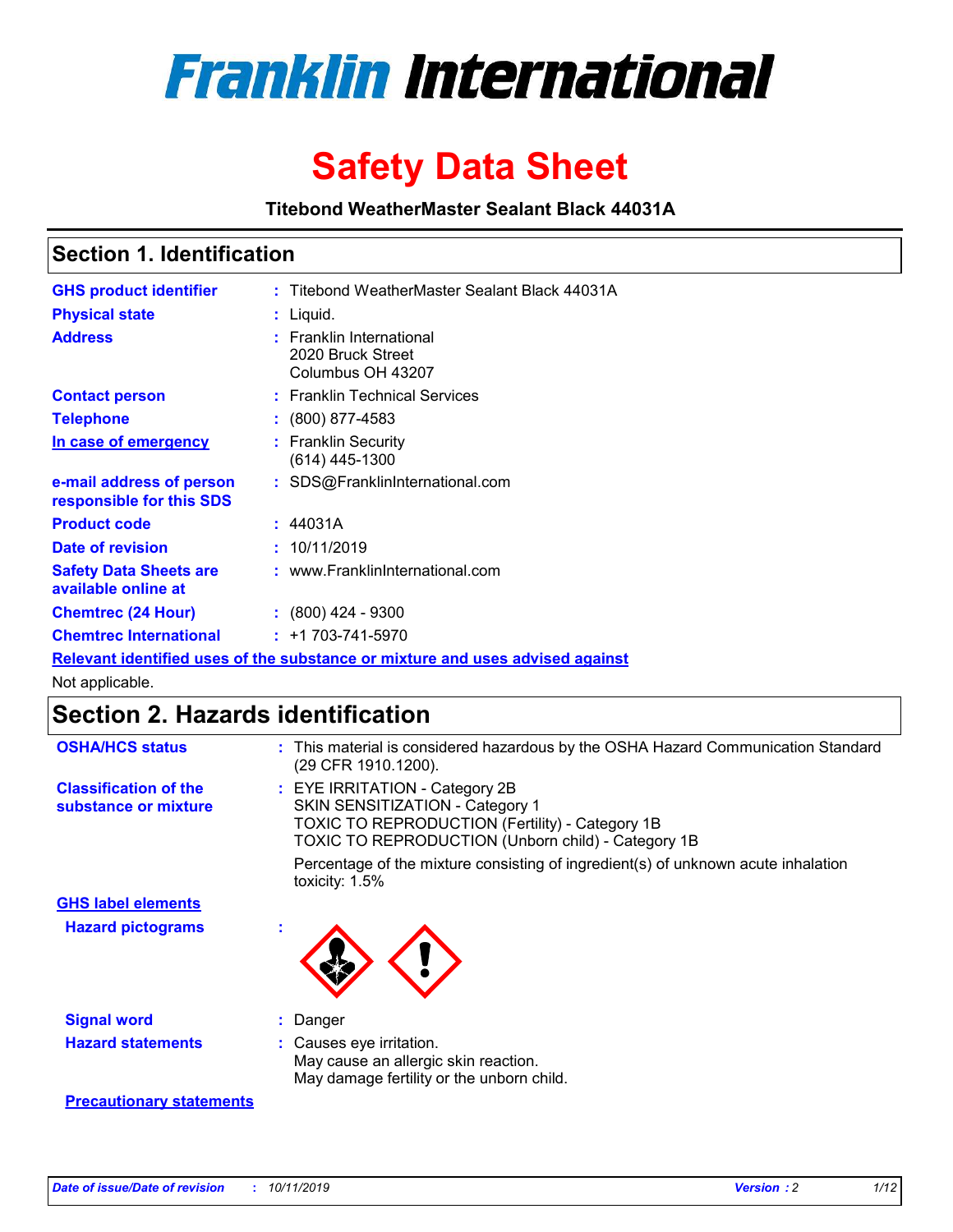

# **Safety Data Sheet**

**Titebond WeatherMaster Sealant Black 44031A**

### **Section 1. Identification**

| <b>GHS product identifier</b>                        | : Titebond WeatherMaster Sealant Black 44031A                                        |
|------------------------------------------------------|--------------------------------------------------------------------------------------|
| <b>Physical state</b>                                | : Liquid.                                                                            |
| <b>Address</b>                                       | : Franklin International<br>2020 Bruck Street<br>Columbus OH 43207                   |
| <b>Contact person</b>                                | : Franklin Technical Services                                                        |
| <b>Telephone</b>                                     | $\colon$ (800) 877-4583                                                              |
| In case of emergency                                 | : Franklin Security<br>(614) 445-1300                                                |
| e-mail address of person<br>responsible for this SDS | : SDS@FranklinInternational.com                                                      |
| <b>Product code</b>                                  | : 44031A                                                                             |
| Date of revision                                     | : 10/11/2019                                                                         |
| <b>Safety Data Sheets are</b><br>available online at | : www.FranklinInternational.com                                                      |
| <b>Chemtrec (24 Hour)</b>                            | : (800) 424 - 9300                                                                   |
| <b>Chemtrec International</b>                        | $: +1703 - 741 - 5970$                                                               |
|                                                      | <u>Relevant identified uses of the substance or mixture and uses advised against</u> |

Not applicable.

## **Section 2. Hazards identification**

| <b>OSHA/HCS status</b>                               | : This material is considered hazardous by the OSHA Hazard Communication Standard<br>(29 CFR 1910.1200).                                                                                 |
|------------------------------------------------------|------------------------------------------------------------------------------------------------------------------------------------------------------------------------------------------|
| <b>Classification of the</b><br>substance or mixture | : EYE IRRITATION - Category 2B<br>SKIN SENSITIZATION - Category 1<br><b>TOXIC TO REPRODUCTION (Fertility) - Category 1B</b><br><b>TOXIC TO REPRODUCTION (Unborn child) - Category 1B</b> |
|                                                      | Percentage of the mixture consisting of ingredient(s) of unknown acute inhalation<br>toxicity: $1.5\%$                                                                                   |
| <b>GHS label elements</b>                            |                                                                                                                                                                                          |
| <b>Hazard pictograms</b>                             |                                                                                                                                                                                          |
| <b>Signal word</b>                                   | : Danger                                                                                                                                                                                 |
| <b>Hazard statements</b>                             | : Causes eye irritation.<br>May cause an allergic skin reaction.<br>May damage fertility or the unborn child.                                                                            |
| <b>Precautionary statements</b>                      |                                                                                                                                                                                          |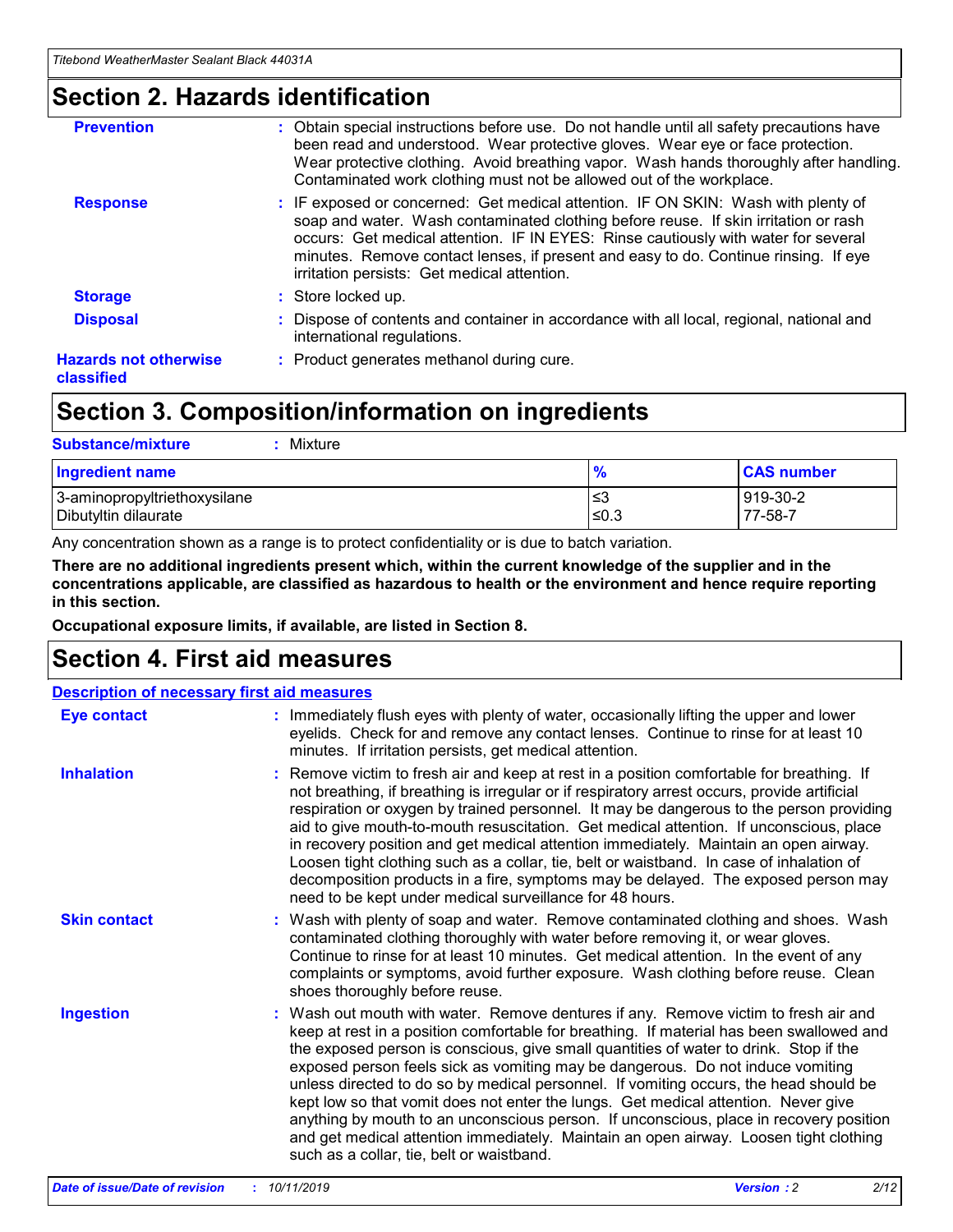### **Section 2. Hazards identification**

| <b>Prevention</b>                          | : Obtain special instructions before use. Do not handle until all safety precautions have<br>been read and understood. Wear protective gloves. Wear eye or face protection.<br>Wear protective clothing. Avoid breathing vapor. Wash hands thoroughly after handling.<br>Contaminated work clothing must not be allowed out of the workplace.                                                        |
|--------------------------------------------|------------------------------------------------------------------------------------------------------------------------------------------------------------------------------------------------------------------------------------------------------------------------------------------------------------------------------------------------------------------------------------------------------|
| <b>Response</b>                            | : IF exposed or concerned: Get medical attention. IF ON SKIN: Wash with plenty of<br>soap and water. Wash contaminated clothing before reuse. If skin irritation or rash<br>occurs: Get medical attention. IF IN EYES: Rinse cautiously with water for several<br>minutes. Remove contact lenses, if present and easy to do. Continue rinsing. If eye<br>irritation persists: Get medical attention. |
| <b>Storage</b>                             | : Store locked up.                                                                                                                                                                                                                                                                                                                                                                                   |
| <b>Disposal</b>                            | : Dispose of contents and container in accordance with all local, regional, national and<br>international regulations.                                                                                                                                                                                                                                                                               |
| <b>Hazards not otherwise</b><br>classified | : Product generates methanol during cure.                                                                                                                                                                                                                                                                                                                                                            |
|                                            |                                                                                                                                                                                                                                                                                                                                                                                                      |

### **Section 3. Composition/information on ingredients**

| <b>Substance/mixture</b><br>Mixture                  |               |                     |
|------------------------------------------------------|---------------|---------------------|
| <b>Ingredient name</b>                               | $\frac{9}{6}$ | <b>CAS number</b>   |
| 3-aminopropyltriethoxysilane<br>Dibutyltin dilaurate | ≤3<br>≤0.3    | 919-30-2<br>77-58-7 |

Any concentration shown as a range is to protect confidentiality or is due to batch variation.

**There are no additional ingredients present which, within the current knowledge of the supplier and in the concentrations applicable, are classified as hazardous to health or the environment and hence require reporting in this section.**

**Occupational exposure limits, if available, are listed in Section 8.**

### **Section 4. First aid measures**

| <b>Description of necessary first aid measures</b> |                                                                                                                                                                                                                                                                                                                                                                                                                                                                                                                                                                                                                                                                                                                                                                           |  |  |  |
|----------------------------------------------------|---------------------------------------------------------------------------------------------------------------------------------------------------------------------------------------------------------------------------------------------------------------------------------------------------------------------------------------------------------------------------------------------------------------------------------------------------------------------------------------------------------------------------------------------------------------------------------------------------------------------------------------------------------------------------------------------------------------------------------------------------------------------------|--|--|--|
| <b>Eye contact</b>                                 | : Immediately flush eyes with plenty of water, occasionally lifting the upper and lower<br>eyelids. Check for and remove any contact lenses. Continue to rinse for at least 10<br>minutes. If irritation persists, get medical attention.                                                                                                                                                                                                                                                                                                                                                                                                                                                                                                                                 |  |  |  |
| <b>Inhalation</b>                                  | : Remove victim to fresh air and keep at rest in a position comfortable for breathing. If<br>not breathing, if breathing is irregular or if respiratory arrest occurs, provide artificial<br>respiration or oxygen by trained personnel. It may be dangerous to the person providing<br>aid to give mouth-to-mouth resuscitation. Get medical attention. If unconscious, place<br>in recovery position and get medical attention immediately. Maintain an open airway.<br>Loosen tight clothing such as a collar, tie, belt or waistband. In case of inhalation of<br>decomposition products in a fire, symptoms may be delayed. The exposed person may<br>need to be kept under medical surveillance for 48 hours.                                                       |  |  |  |
| <b>Skin contact</b>                                | : Wash with plenty of soap and water. Remove contaminated clothing and shoes. Wash<br>contaminated clothing thoroughly with water before removing it, or wear gloves.<br>Continue to rinse for at least 10 minutes. Get medical attention. In the event of any<br>complaints or symptoms, avoid further exposure. Wash clothing before reuse. Clean<br>shoes thoroughly before reuse.                                                                                                                                                                                                                                                                                                                                                                                     |  |  |  |
| <b>Ingestion</b>                                   | : Wash out mouth with water. Remove dentures if any. Remove victim to fresh air and<br>keep at rest in a position comfortable for breathing. If material has been swallowed and<br>the exposed person is conscious, give small quantities of water to drink. Stop if the<br>exposed person feels sick as vomiting may be dangerous. Do not induce vomiting<br>unless directed to do so by medical personnel. If vomiting occurs, the head should be<br>kept low so that vomit does not enter the lungs. Get medical attention. Never give<br>anything by mouth to an unconscious person. If unconscious, place in recovery position<br>and get medical attention immediately. Maintain an open airway. Loosen tight clothing<br>such as a collar, tie, belt or waistband. |  |  |  |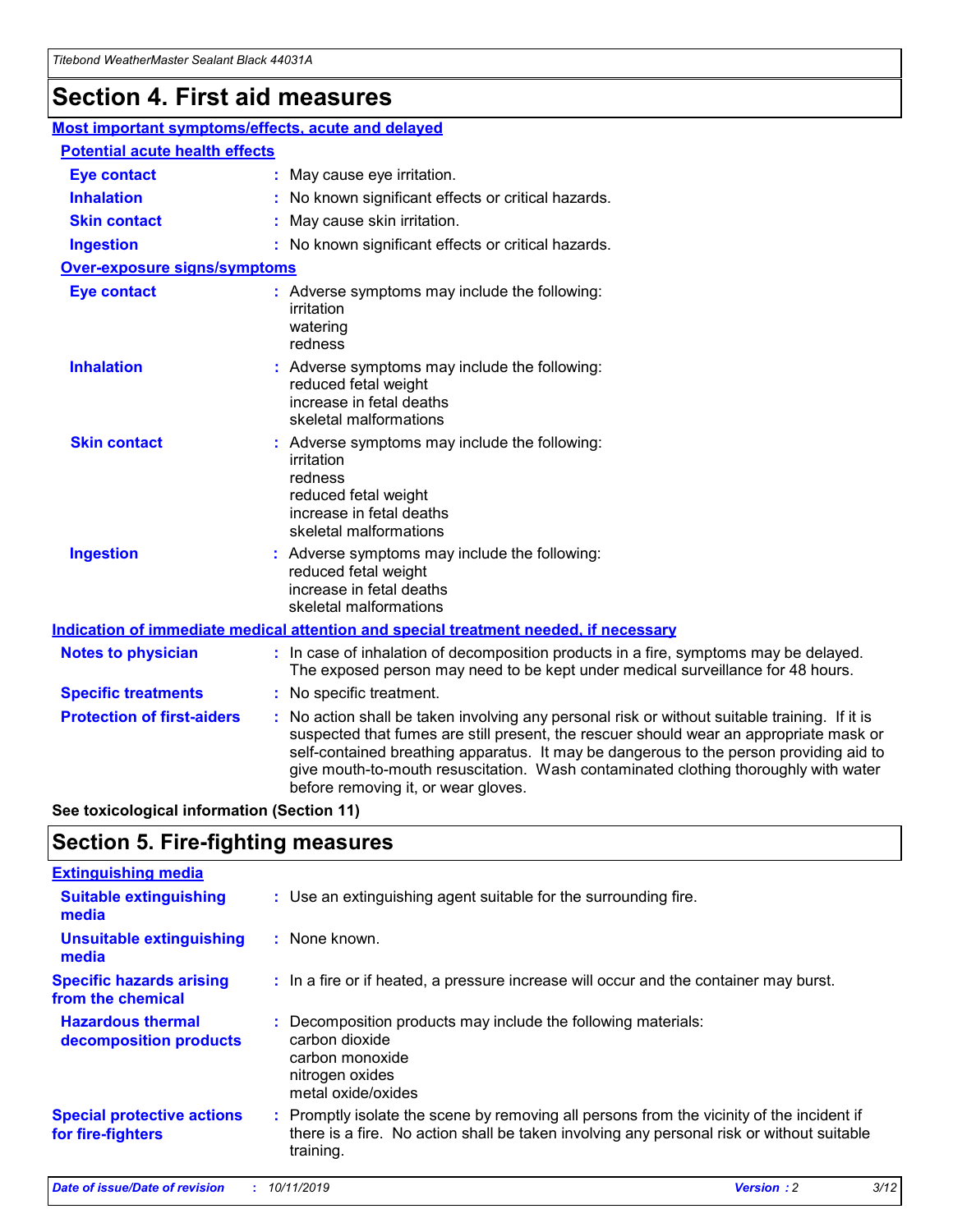## **Section 4. First aid measures**

| Most important symptoms/effects, acute and delayed |                                       |                                                                                                                                                                                                                                                                                                                                                                                                                 |  |  |  |
|----------------------------------------------------|---------------------------------------|-----------------------------------------------------------------------------------------------------------------------------------------------------------------------------------------------------------------------------------------------------------------------------------------------------------------------------------------------------------------------------------------------------------------|--|--|--|
|                                                    | <b>Potential acute health effects</b> |                                                                                                                                                                                                                                                                                                                                                                                                                 |  |  |  |
| <b>Eye contact</b>                                 |                                       | : May cause eye irritation.                                                                                                                                                                                                                                                                                                                                                                                     |  |  |  |
| <b>Inhalation</b>                                  |                                       | : No known significant effects or critical hazards.                                                                                                                                                                                                                                                                                                                                                             |  |  |  |
| <b>Skin contact</b>                                |                                       | : May cause skin irritation.                                                                                                                                                                                                                                                                                                                                                                                    |  |  |  |
| <b>Ingestion</b>                                   |                                       | : No known significant effects or critical hazards.                                                                                                                                                                                                                                                                                                                                                             |  |  |  |
| <b>Over-exposure signs/symptoms</b>                |                                       |                                                                                                                                                                                                                                                                                                                                                                                                                 |  |  |  |
| <b>Eye contact</b>                                 |                                       | : Adverse symptoms may include the following:<br>irritation<br>watering<br>redness                                                                                                                                                                                                                                                                                                                              |  |  |  |
| <b>Inhalation</b>                                  |                                       | : Adverse symptoms may include the following:<br>reduced fetal weight<br>increase in fetal deaths<br>skeletal malformations                                                                                                                                                                                                                                                                                     |  |  |  |
| <b>Skin contact</b>                                |                                       | : Adverse symptoms may include the following:<br>irritation<br>redness<br>reduced fetal weight<br>increase in fetal deaths<br>skeletal malformations                                                                                                                                                                                                                                                            |  |  |  |
| <b>Ingestion</b>                                   |                                       | : Adverse symptoms may include the following:<br>reduced fetal weight<br>increase in fetal deaths<br>skeletal malformations                                                                                                                                                                                                                                                                                     |  |  |  |
|                                                    |                                       | <b>Indication of immediate medical attention and special treatment needed, if necessary</b>                                                                                                                                                                                                                                                                                                                     |  |  |  |
| <b>Notes to physician</b>                          |                                       | : In case of inhalation of decomposition products in a fire, symptoms may be delayed.<br>The exposed person may need to be kept under medical surveillance for 48 hours.                                                                                                                                                                                                                                        |  |  |  |
| <b>Specific treatments</b>                         |                                       | : No specific treatment.                                                                                                                                                                                                                                                                                                                                                                                        |  |  |  |
| <b>Protection of first-aiders</b>                  |                                       | : No action shall be taken involving any personal risk or without suitable training. If it is<br>suspected that fumes are still present, the rescuer should wear an appropriate mask or<br>self-contained breathing apparatus. It may be dangerous to the person providing aid to<br>give mouth-to-mouth resuscitation. Wash contaminated clothing thoroughly with water<br>before removing it, or wear gloves. |  |  |  |

**See toxicological information (Section 11)**

### **Section 5. Fire-fighting measures**

| <b>Extinguishing media</b>                             |                                                                                                                                                                                                     |
|--------------------------------------------------------|-----------------------------------------------------------------------------------------------------------------------------------------------------------------------------------------------------|
| <b>Suitable extinguishing</b><br>media                 | : Use an extinguishing agent suitable for the surrounding fire.                                                                                                                                     |
| <b>Unsuitable extinguishing</b><br>media               | : None known.                                                                                                                                                                                       |
| <b>Specific hazards arising</b><br>from the chemical   | : In a fire or if heated, a pressure increase will occur and the container may burst.                                                                                                               |
| <b>Hazardous thermal</b><br>decomposition products     | : Decomposition products may include the following materials:<br>carbon dioxide<br>carbon monoxide<br>nitrogen oxides<br>metal oxide/oxides                                                         |
| <b>Special protective actions</b><br>for fire-fighters | : Promptly isolate the scene by removing all persons from the vicinity of the incident if<br>there is a fire. No action shall be taken involving any personal risk or without suitable<br>training. |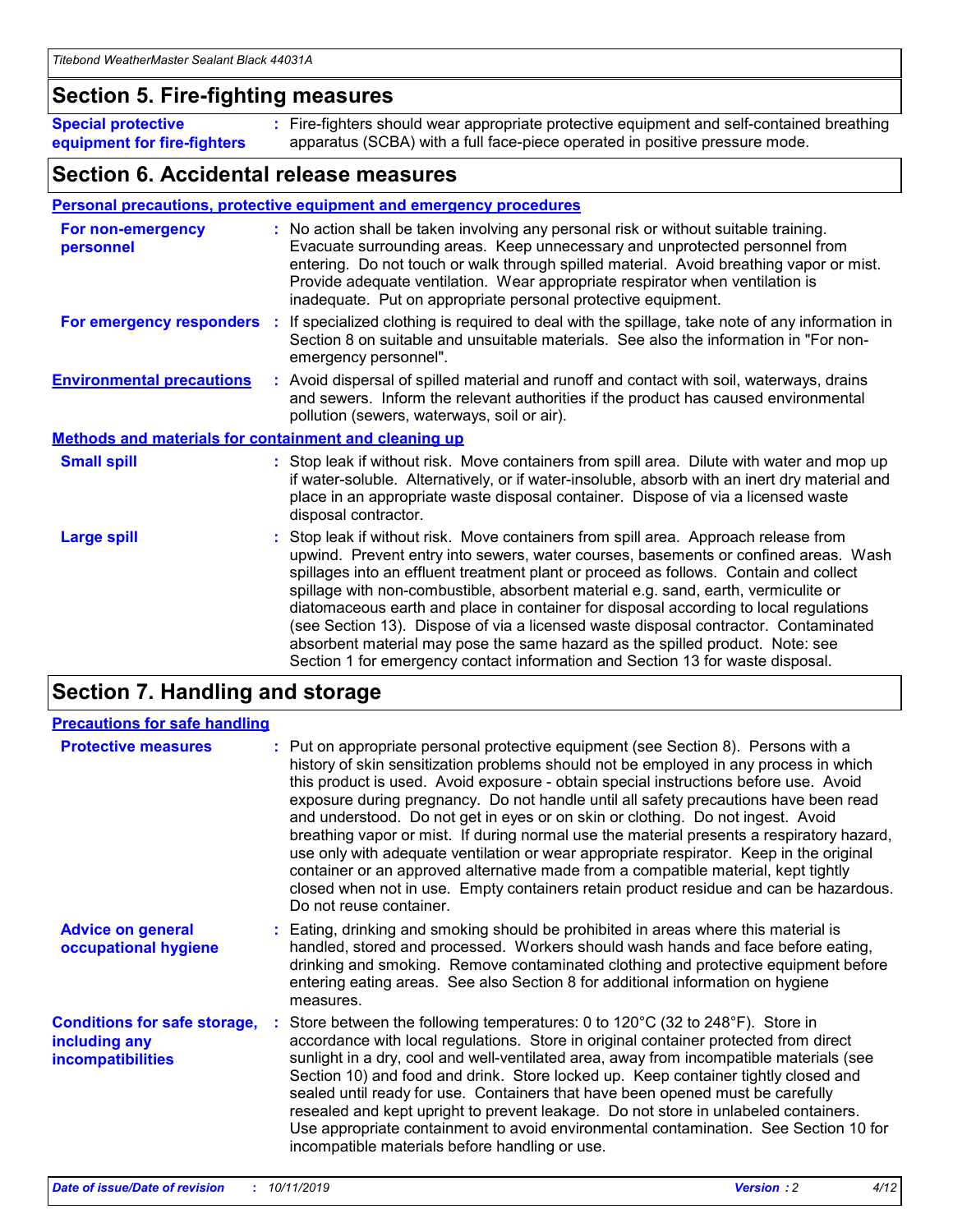### **Section 5. Fire-fighting measures**

**Special protective equipment for fire-fighters** Fire-fighters should wear appropriate protective equipment and self-contained breathing **:** apparatus (SCBA) with a full face-piece operated in positive pressure mode.

### **Section 6. Accidental release measures**

#### **Personal precautions, protective equipment and emergency procedures**

| For non-emergency<br>personnel                               | : No action shall be taken involving any personal risk or without suitable training.<br>Evacuate surrounding areas. Keep unnecessary and unprotected personnel from<br>entering. Do not touch or walk through spilled material. Avoid breathing vapor or mist.<br>Provide adequate ventilation. Wear appropriate respirator when ventilation is<br>inadequate. Put on appropriate personal protective equipment.                                                                                                                                                                                                                                                                                             |
|--------------------------------------------------------------|--------------------------------------------------------------------------------------------------------------------------------------------------------------------------------------------------------------------------------------------------------------------------------------------------------------------------------------------------------------------------------------------------------------------------------------------------------------------------------------------------------------------------------------------------------------------------------------------------------------------------------------------------------------------------------------------------------------|
| For emergency responders                                     | : If specialized clothing is required to deal with the spillage, take note of any information in<br>Section 8 on suitable and unsuitable materials. See also the information in "For non-<br>emergency personnel".                                                                                                                                                                                                                                                                                                                                                                                                                                                                                           |
| <b>Environmental precautions</b>                             | : Avoid dispersal of spilled material and runoff and contact with soil, waterways, drains<br>and sewers. Inform the relevant authorities if the product has caused environmental<br>pollution (sewers, waterways, soil or air).                                                                                                                                                                                                                                                                                                                                                                                                                                                                              |
| <b>Methods and materials for containment and cleaning up</b> |                                                                                                                                                                                                                                                                                                                                                                                                                                                                                                                                                                                                                                                                                                              |
| <b>Small spill</b>                                           | : Stop leak if without risk. Move containers from spill area. Dilute with water and mop up<br>if water-soluble. Alternatively, or if water-insoluble, absorb with an inert dry material and<br>place in an appropriate waste disposal container. Dispose of via a licensed waste<br>disposal contractor.                                                                                                                                                                                                                                                                                                                                                                                                     |
| <b>Large spill</b>                                           | : Stop leak if without risk. Move containers from spill area. Approach release from<br>upwind. Prevent entry into sewers, water courses, basements or confined areas. Wash<br>spillages into an effluent treatment plant or proceed as follows. Contain and collect<br>spillage with non-combustible, absorbent material e.g. sand, earth, vermiculite or<br>diatomaceous earth and place in container for disposal according to local regulations<br>(see Section 13). Dispose of via a licensed waste disposal contractor. Contaminated<br>absorbent material may pose the same hazard as the spilled product. Note: see<br>Section 1 for emergency contact information and Section 13 for waste disposal. |

### **Section 7. Handling and storage**

| <b>Precautions for safe handling</b>                                             |                                                                                                                                                                                                                                                                                                                                                                                                                                                                                                                                                                                                                                                                                                                                                                                                                                                  |
|----------------------------------------------------------------------------------|--------------------------------------------------------------------------------------------------------------------------------------------------------------------------------------------------------------------------------------------------------------------------------------------------------------------------------------------------------------------------------------------------------------------------------------------------------------------------------------------------------------------------------------------------------------------------------------------------------------------------------------------------------------------------------------------------------------------------------------------------------------------------------------------------------------------------------------------------|
| <b>Protective measures</b>                                                       | : Put on appropriate personal protective equipment (see Section 8). Persons with a<br>history of skin sensitization problems should not be employed in any process in which<br>this product is used. Avoid exposure - obtain special instructions before use. Avoid<br>exposure during pregnancy. Do not handle until all safety precautions have been read<br>and understood. Do not get in eyes or on skin or clothing. Do not ingest. Avoid<br>breathing vapor or mist. If during normal use the material presents a respiratory hazard,<br>use only with adequate ventilation or wear appropriate respirator. Keep in the original<br>container or an approved alternative made from a compatible material, kept tightly<br>closed when not in use. Empty containers retain product residue and can be hazardous.<br>Do not reuse container. |
| <b>Advice on general</b><br>occupational hygiene                                 | : Eating, drinking and smoking should be prohibited in areas where this material is<br>handled, stored and processed. Workers should wash hands and face before eating,<br>drinking and smoking. Remove contaminated clothing and protective equipment before<br>entering eating areas. See also Section 8 for additional information on hygiene<br>measures.                                                                                                                                                                                                                                                                                                                                                                                                                                                                                    |
| <b>Conditions for safe storage,</b><br>including any<br><b>incompatibilities</b> | Store between the following temperatures: 0 to 120°C (32 to 248°F). Store in<br>accordance with local regulations. Store in original container protected from direct<br>sunlight in a dry, cool and well-ventilated area, away from incompatible materials (see<br>Section 10) and food and drink. Store locked up. Keep container tightly closed and<br>sealed until ready for use. Containers that have been opened must be carefully<br>resealed and kept upright to prevent leakage. Do not store in unlabeled containers.<br>Use appropriate containment to avoid environmental contamination. See Section 10 for<br>incompatible materials before handling or use.                                                                                                                                                                         |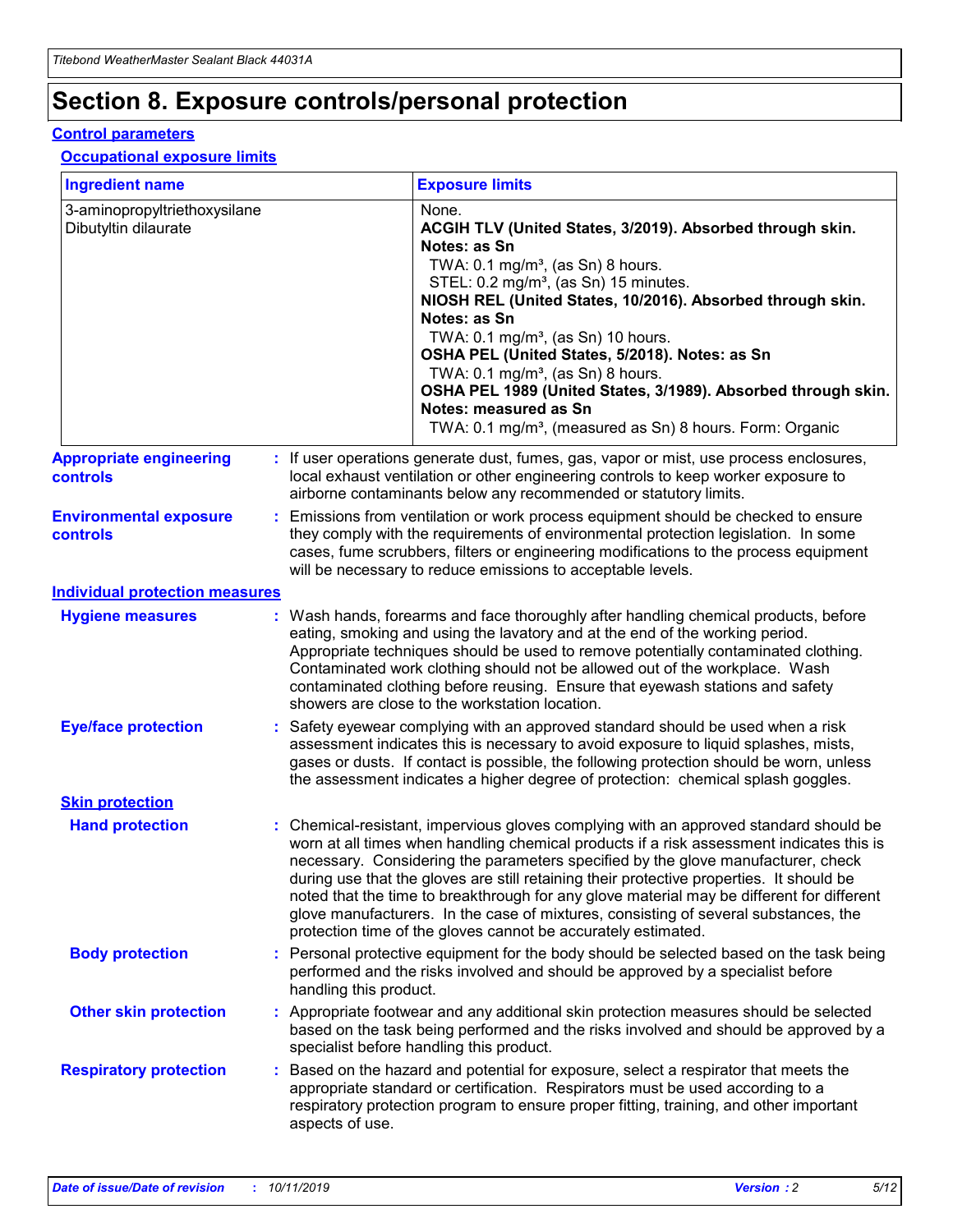## **Section 8. Exposure controls/personal protection**

#### **Control parameters**

### **Occupational exposure limits**

| <b>Ingredient name</b>                               |    |                        | <b>Exposure limits</b>                                                                                                                                                                                                                                                                                                                                                                                                                                                                                                                                                                                                 |
|------------------------------------------------------|----|------------------------|------------------------------------------------------------------------------------------------------------------------------------------------------------------------------------------------------------------------------------------------------------------------------------------------------------------------------------------------------------------------------------------------------------------------------------------------------------------------------------------------------------------------------------------------------------------------------------------------------------------------|
| 3-aminopropyltriethoxysilane<br>Dibutyltin dilaurate |    |                        | None.<br>ACGIH TLV (United States, 3/2019). Absorbed through skin.<br>Notes: as Sn<br>TWA: $0.1 \text{ mg/m}^3$ , (as Sn) 8 hours.<br>STEL: 0.2 mg/m <sup>3</sup> , (as Sn) 15 minutes.<br>NIOSH REL (United States, 10/2016). Absorbed through skin.<br>Notes: as Sn<br>TWA: 0.1 mg/m <sup>3</sup> , (as Sn) 10 hours.<br>OSHA PEL (United States, 5/2018). Notes: as Sn<br>TWA: $0.1 \text{ mg/m}^3$ , (as Sn) 8 hours.<br>OSHA PEL 1989 (United States, 3/1989). Absorbed through skin.<br>Notes: measured as Sn<br>TWA: 0.1 mg/m <sup>3</sup> , (measured as Sn) 8 hours. Form: Organic                            |
| <b>Appropriate engineering</b><br>controls           |    |                        | : If user operations generate dust, fumes, gas, vapor or mist, use process enclosures,<br>local exhaust ventilation or other engineering controls to keep worker exposure to<br>airborne contaminants below any recommended or statutory limits.                                                                                                                                                                                                                                                                                                                                                                       |
| <b>Environmental exposure</b><br>controls            |    |                        | Emissions from ventilation or work process equipment should be checked to ensure<br>they comply with the requirements of environmental protection legislation. In some<br>cases, fume scrubbers, filters or engineering modifications to the process equipment<br>will be necessary to reduce emissions to acceptable levels.                                                                                                                                                                                                                                                                                          |
| <b>Individual protection measures</b>                |    |                        |                                                                                                                                                                                                                                                                                                                                                                                                                                                                                                                                                                                                                        |
| <b>Hygiene measures</b>                              |    |                        | : Wash hands, forearms and face thoroughly after handling chemical products, before<br>eating, smoking and using the lavatory and at the end of the working period.<br>Appropriate techniques should be used to remove potentially contaminated clothing.<br>Contaminated work clothing should not be allowed out of the workplace. Wash<br>contaminated clothing before reusing. Ensure that eyewash stations and safety<br>showers are close to the workstation location.                                                                                                                                            |
| <b>Eye/face protection</b>                           |    |                        | : Safety eyewear complying with an approved standard should be used when a risk<br>assessment indicates this is necessary to avoid exposure to liquid splashes, mists,<br>gases or dusts. If contact is possible, the following protection should be worn, unless<br>the assessment indicates a higher degree of protection: chemical splash goggles.                                                                                                                                                                                                                                                                  |
| <b>Skin protection</b>                               |    |                        |                                                                                                                                                                                                                                                                                                                                                                                                                                                                                                                                                                                                                        |
| <b>Hand protection</b>                               |    |                        | : Chemical-resistant, impervious gloves complying with an approved standard should be<br>worn at all times when handling chemical products if a risk assessment indicates this is<br>necessary. Considering the parameters specified by the glove manufacturer, check<br>during use that the gloves are still retaining their protective properties. It should be<br>noted that the time to breakthrough for any glove material may be different for different<br>glove manufacturers. In the case of mixtures, consisting of several substances, the<br>protection time of the gloves cannot be accurately estimated. |
| <b>Body protection</b>                               |    | handling this product. | Personal protective equipment for the body should be selected based on the task being<br>performed and the risks involved and should be approved by a specialist before                                                                                                                                                                                                                                                                                                                                                                                                                                                |
| <b>Other skin protection</b>                         |    |                        | : Appropriate footwear and any additional skin protection measures should be selected<br>based on the task being performed and the risks involved and should be approved by a<br>specialist before handling this product.                                                                                                                                                                                                                                                                                                                                                                                              |
| <b>Respiratory protection</b>                        | ÷. | aspects of use.        | Based on the hazard and potential for exposure, select a respirator that meets the<br>appropriate standard or certification. Respirators must be used according to a<br>respiratory protection program to ensure proper fitting, training, and other important                                                                                                                                                                                                                                                                                                                                                         |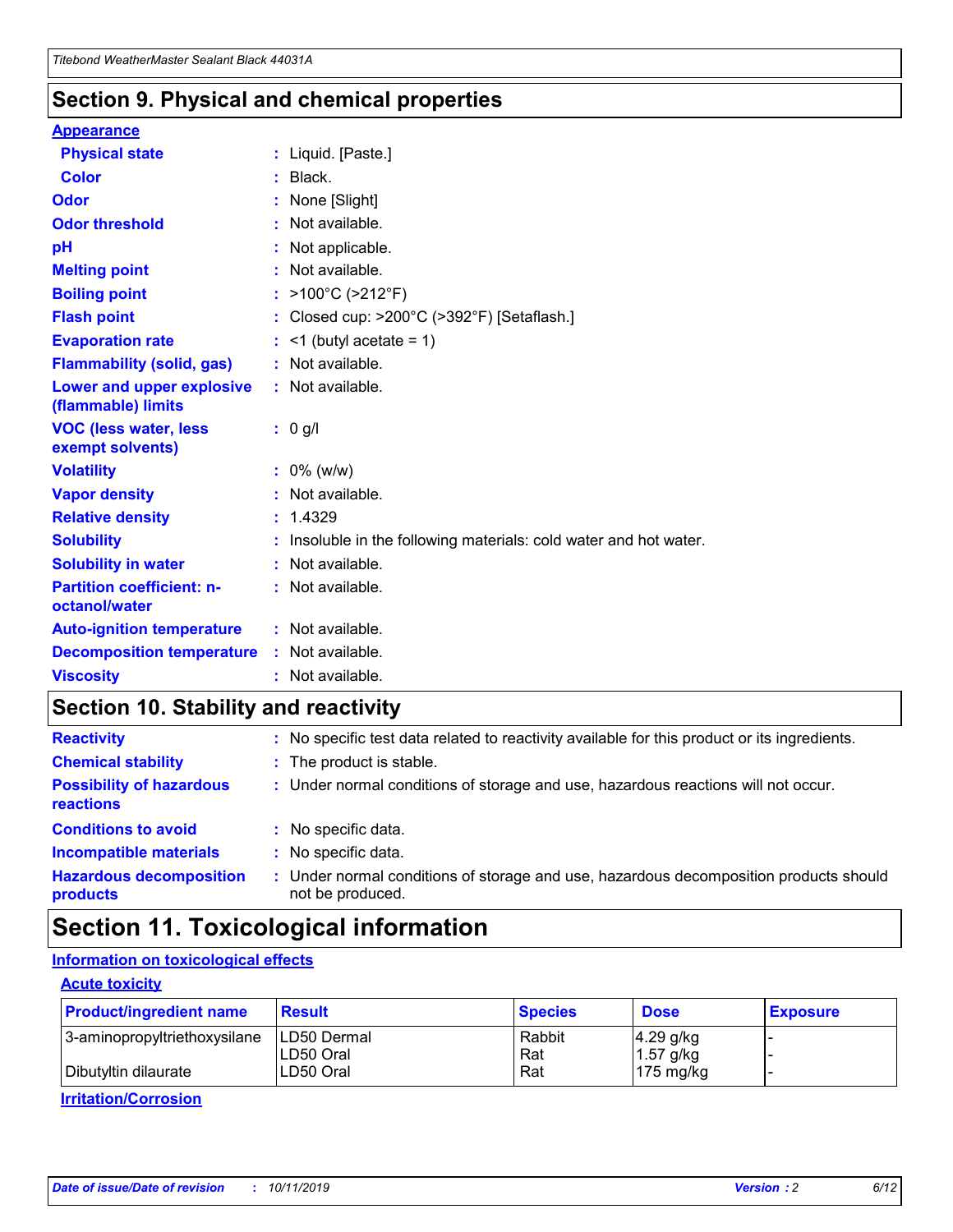### **Section 9. Physical and chemical properties**

#### **Appearance**

| <b>Physical state</b>                             | : Liquid. [Paste.]                                              |
|---------------------------------------------------|-----------------------------------------------------------------|
| <b>Color</b>                                      | $:$ Black.                                                      |
| Odor                                              | None [Slight]                                                   |
| <b>Odor threshold</b>                             | $:$ Not available.                                              |
| рH                                                | : Not applicable.                                               |
| <b>Melting point</b>                              | : Not available.                                                |
| <b>Boiling point</b>                              | : >100°C (>212°F)                                               |
| <b>Flash point</b>                                | : Closed cup: >200°C (>392°F) [Setaflash.]                      |
| <b>Evaporation rate</b>                           | $:$ <1 (butyl acetate = 1)                                      |
| <b>Flammability (solid, gas)</b>                  | : Not available.                                                |
| Lower and upper explosive<br>(flammable) limits   | : Not available.                                                |
| <b>VOC (less water, less</b><br>exempt solvents)  | $: 0$ g/l                                                       |
| <b>Volatility</b>                                 | $: 0\%$ (w/w)                                                   |
| <b>Vapor density</b>                              | : Not available.                                                |
| <b>Relative density</b>                           | : 1.4329                                                        |
| <b>Solubility</b>                                 | Insoluble in the following materials: cold water and hot water. |
| <b>Solubility in water</b>                        | : Not available.                                                |
| <b>Partition coefficient: n-</b><br>octanol/water | : Not available.                                                |
| <b>Auto-ignition temperature</b>                  | : Not available.                                                |
| <b>Decomposition temperature</b>                  | : Not available.                                                |
| <b>Viscosity</b>                                  | : Not available.                                                |

### **Section 10. Stability and reactivity**

| <b>Reactivity</b>                            |    | : No specific test data related to reactivity available for this product or its ingredients.            |
|----------------------------------------------|----|---------------------------------------------------------------------------------------------------------|
| <b>Chemical stability</b>                    |    | : The product is stable.                                                                                |
| <b>Possibility of hazardous</b><br>reactions |    | : Under normal conditions of storage and use, hazardous reactions will not occur.                       |
| <b>Conditions to avoid</b>                   |    | : No specific data.                                                                                     |
| <b>Incompatible materials</b>                | ٠. | No specific data.                                                                                       |
| <b>Hazardous decomposition</b><br>products   | ÷. | Under normal conditions of storage and use, hazardous decomposition products should<br>not be produced. |

### **Section 11. Toxicological information**

### **Information on toxicological effects**

### **Acute toxicity**

| <b>Product/ingredient name</b> | <b>Result</b>           | <b>Species</b> | <b>Dose</b>                | <b>Exposure</b> |
|--------------------------------|-------------------------|----------------|----------------------------|-----------------|
| 3-aminopropyltriethoxysilane   | <b>ILD50 Dermal</b>     | Rabbit         | 4.29 g/kg                  |                 |
| Dibutyltin dilaurate           | ILD50 Oral<br>LD50 Oral | Rat<br>Rat     | $1.57$ g/kg<br>175 $mg/kg$ |                 |
|                                |                         |                |                            |                 |

**Irritation/Corrosion**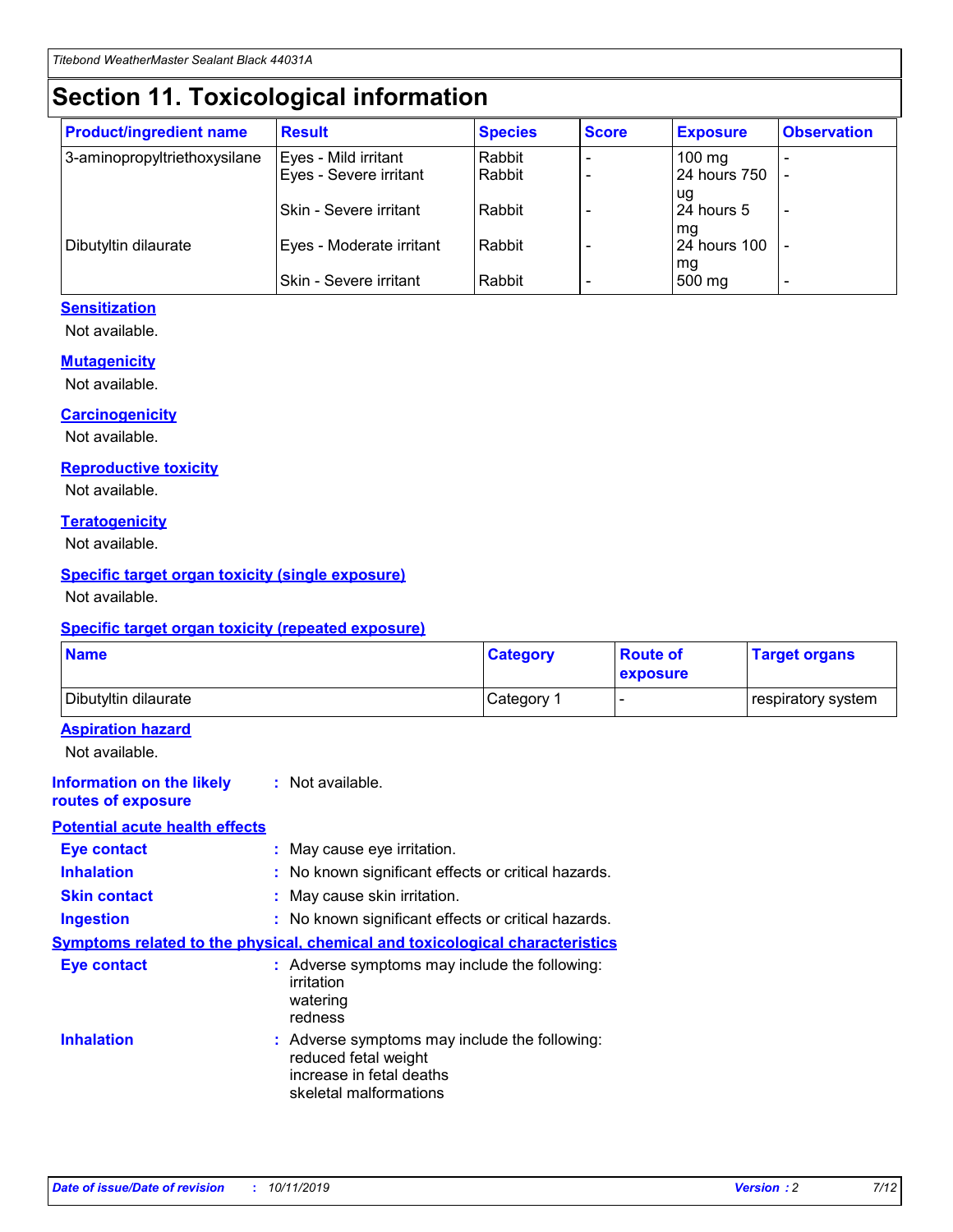## **Section 11. Toxicological information**

| <b>Product/ingredient name</b> | <b>Result</b>            | <b>Species</b> | <b>Score</b> | <b>Exposure</b>           | <b>Observation</b> |
|--------------------------------|--------------------------|----------------|--------------|---------------------------|--------------------|
| 3-aminopropyltriethoxysilane   | Eyes - Mild irritant     | Rabbit         |              | $100$ mg                  |                    |
|                                | Eyes - Severe irritant   | Rabbit         |              | 24 hours 750              |                    |
|                                |                          |                |              | ug                        |                    |
|                                | Skin - Severe irritant   | Rabbit         |              | 24 hours 5                | -                  |
| Dibutyltin dilaurate           | Eyes - Moderate irritant | Rabbit         |              | mq<br><b>24 hours 100</b> |                    |
|                                |                          |                |              | mg                        |                    |
|                                | Skin - Severe irritant   | Rabbit         |              | 500 mg                    |                    |

### **Sensitization**

Not available.

#### **Mutagenicity**

Not available.

#### **Carcinogenicity**

Not available.

#### **Reproductive toxicity**

Not available.

#### **Teratogenicity**

Not available.

#### **Specific target organ toxicity (single exposure)**

Not available.

#### **Specific target organ toxicity (repeated exposure)**

| <b>Name</b>                                                                  |                                                                                                                             | <b>Category</b> | <b>Route of</b><br>exposure  | <b>Target organs</b> |
|------------------------------------------------------------------------------|-----------------------------------------------------------------------------------------------------------------------------|-----------------|------------------------------|----------------------|
| Dibutyltin dilaurate                                                         |                                                                                                                             | Category 1      | $\qquad \qquad \blacksquare$ | respiratory system   |
| <b>Aspiration hazard</b><br>Not available.                                   |                                                                                                                             |                 |                              |                      |
| <b>Information on the likely</b><br>routes of exposure                       | : Not available.                                                                                                            |                 |                              |                      |
| <b>Potential acute health effects</b>                                        |                                                                                                                             |                 |                              |                      |
| <b>Eye contact</b>                                                           | : May cause eye irritation.                                                                                                 |                 |                              |                      |
| <b>Inhalation</b>                                                            | : No known significant effects or critical hazards.                                                                         |                 |                              |                      |
| <b>Skin contact</b>                                                          | : May cause skin irritation.                                                                                                |                 |                              |                      |
| <b>Ingestion</b>                                                             | : No known significant effects or critical hazards.                                                                         |                 |                              |                      |
| Symptoms related to the physical, chemical and toxicological characteristics |                                                                                                                             |                 |                              |                      |
| <b>Eye contact</b>                                                           | : Adverse symptoms may include the following:<br>irritation<br>watering<br>redness                                          |                 |                              |                      |
| <b>Inhalation</b>                                                            | : Adverse symptoms may include the following:<br>reduced fetal weight<br>increase in fetal deaths<br>skeletal malformations |                 |                              |                      |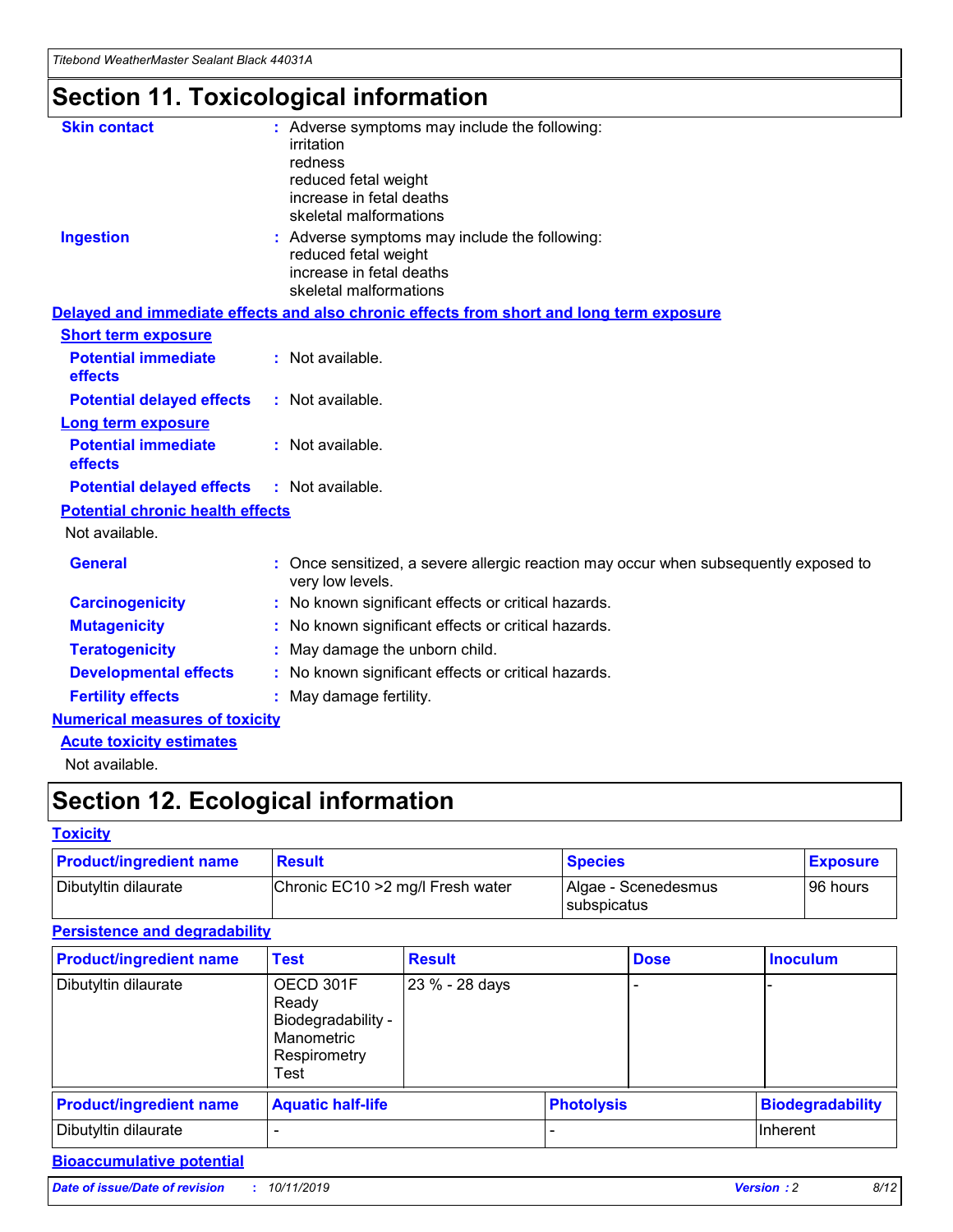## **Section 11. Toxicological information**

| <b>Skin contact</b>                     | : Adverse symptoms may include the following:<br>irritation<br>redness<br>reduced fetal weight<br>increase in fetal deaths<br>skeletal malformations |
|-----------------------------------------|------------------------------------------------------------------------------------------------------------------------------------------------------|
| <b>Ingestion</b>                        | : Adverse symptoms may include the following:<br>reduced fetal weight<br>increase in fetal deaths<br>skeletal malformations                          |
|                                         | Delayed and immediate effects and also chronic effects from short and long term exposure                                                             |
| <b>Short term exposure</b>              |                                                                                                                                                      |
| <b>Potential immediate</b><br>effects   | : Not available.                                                                                                                                     |
| <b>Potential delayed effects</b>        | : Not available.                                                                                                                                     |
| <b>Long term exposure</b>               |                                                                                                                                                      |
| <b>Potential immediate</b><br>effects   | : Not available.                                                                                                                                     |
| <b>Potential delayed effects</b>        | : Not available.                                                                                                                                     |
| <b>Potential chronic health effects</b> |                                                                                                                                                      |
| Not available.                          |                                                                                                                                                      |
| <b>General</b>                          | : Once sensitized, a severe allergic reaction may occur when subsequently exposed to<br>very low levels.                                             |
| <b>Carcinogenicity</b>                  | : No known significant effects or critical hazards.                                                                                                  |
| <b>Mutagenicity</b>                     | No known significant effects or critical hazards.                                                                                                    |
| <b>Teratogenicity</b>                   | May damage the unborn child.                                                                                                                         |
| <b>Developmental effects</b>            | : No known significant effects or critical hazards.                                                                                                  |
| <b>Fertility effects</b>                | : May damage fertility.                                                                                                                              |
| <b>Numerical measures of toxicity</b>   |                                                                                                                                                      |
| <b>Acute toxicity estimates</b>         |                                                                                                                                                      |
| .                                       |                                                                                                                                                      |

Not available.

## **Section 12. Ecological information**

#### **Toxicity**

| <b>Product/ingredient name</b> | <b>Result</b>                     | <b>Species</b>                              | <b>Exposure</b> |
|--------------------------------|-----------------------------------|---------------------------------------------|-----------------|
| Dibutyltin dilaurate           | Chronic EC10 > 2 mg/l Fresh water | Algae - Scenedesmus<br><b>I</b> subspicatus | l 96 hours i    |

### **Persistence and degradability**

| <b>Product/ingredient name</b> | <b>Test</b>                                                                    | <b>Result</b>  |  | <b>Dose</b>       | <b>Inoculum</b>         |
|--------------------------------|--------------------------------------------------------------------------------|----------------|--|-------------------|-------------------------|
| Dibutyltin dilaurate           | OECD 301F<br>Ready<br>Biodegradability -<br>Manometric<br>Respirometry<br>Test | 23 % - 28 days |  |                   |                         |
| <b>Product/ingredient name</b> | <b>Aquatic half-life</b>                                                       |                |  | <b>Photolysis</b> | <b>Biodegradability</b> |
| Dibutyltin dilaurate           |                                                                                |                |  |                   | Inherent                |

### **Bioaccumulative potential**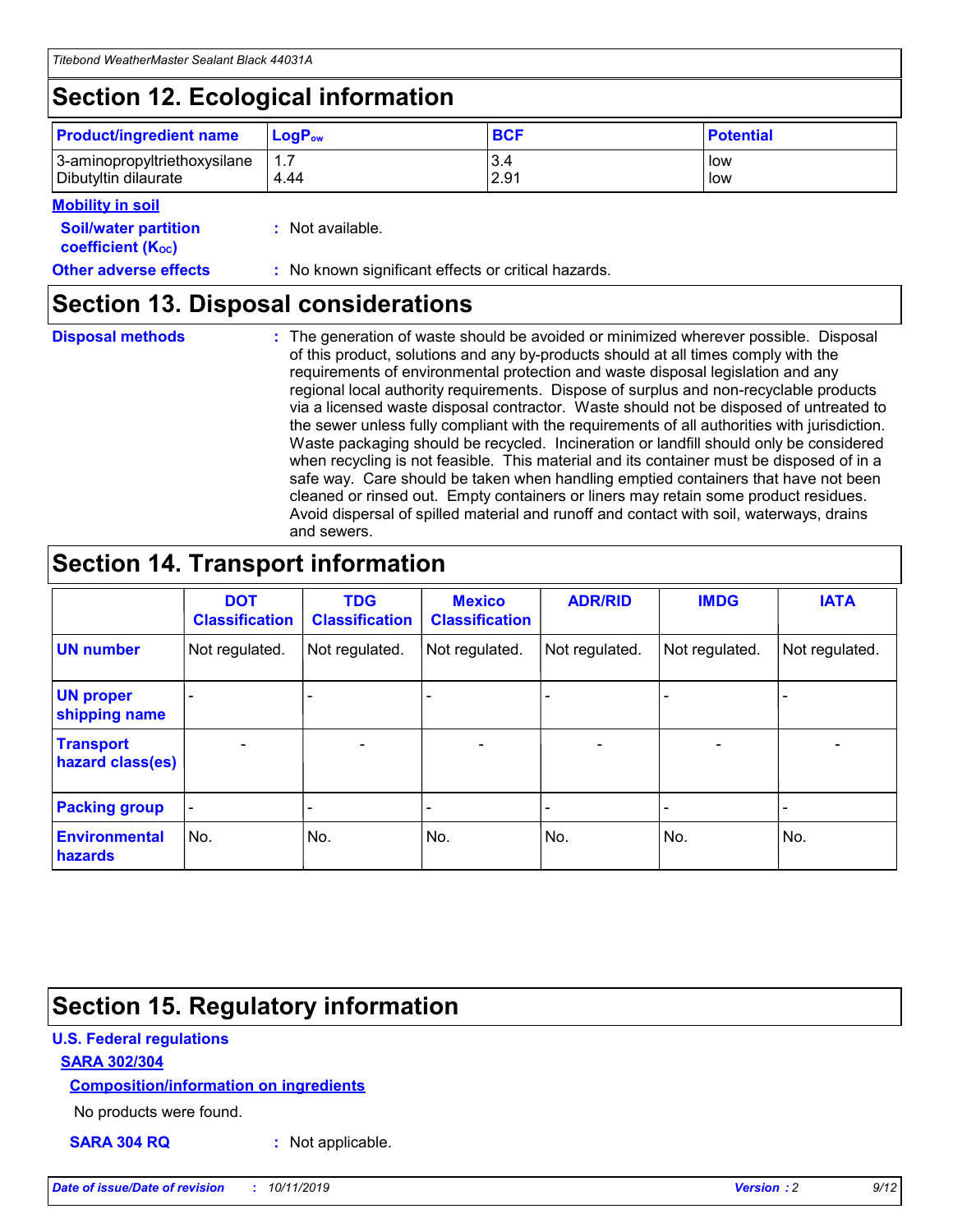## **Section 12. Ecological information**

| <b>Product/ingredient name</b> | $LoaPow$ | <b>BCF</b> | <b>Potential</b> |
|--------------------------------|----------|------------|------------------|
| 3-aminopropyltriethoxysilane   | 1.7      | 3.4        | low              |
| Dibutyltin dilaurate           | 4.44     | 2.91       | low              |

#### **Mobility in soil**

| <i></i>                                                       |                                                     |
|---------------------------------------------------------------|-----------------------------------------------------|
| <b>Soil/water partition</b><br>coefficient (K <sub>oc</sub> ) | : Not available.                                    |
| <b>Other adverse effects</b>                                  | : No known significant effects or critical hazards. |

### **Section 13. Disposal considerations**

**Disposal methods :**

The generation of waste should be avoided or minimized wherever possible. Disposal of this product, solutions and any by-products should at all times comply with the requirements of environmental protection and waste disposal legislation and any regional local authority requirements. Dispose of surplus and non-recyclable products via a licensed waste disposal contractor. Waste should not be disposed of untreated to the sewer unless fully compliant with the requirements of all authorities with jurisdiction. Waste packaging should be recycled. Incineration or landfill should only be considered when recycling is not feasible. This material and its container must be disposed of in a safe way. Care should be taken when handling emptied containers that have not been cleaned or rinsed out. Empty containers or liners may retain some product residues. Avoid dispersal of spilled material and runoff and contact with soil, waterways, drains and sewers.

## **Section 14. Transport information**

|                                      | <b>DOT</b><br><b>Classification</b> | <b>TDG</b><br><b>Classification</b> | <b>Mexico</b><br><b>Classification</b> | <b>ADR/RID</b>           | <b>IMDG</b>              | <b>IATA</b>    |
|--------------------------------------|-------------------------------------|-------------------------------------|----------------------------------------|--------------------------|--------------------------|----------------|
| <b>UN number</b>                     | Not regulated.                      | Not regulated.                      | Not regulated.                         | Not regulated.           | Not regulated.           | Not regulated. |
| <b>UN proper</b><br>shipping name    | $\blacksquare$                      |                                     |                                        |                          |                          |                |
| <b>Transport</b><br>hazard class(es) | $\blacksquare$                      | $\overline{\phantom{a}}$            | $\overline{\phantom{a}}$               | $\overline{\phantom{a}}$ | $\overline{\phantom{a}}$ | $\blacksquare$ |
| <b>Packing group</b>                 | $\overline{\phantom{a}}$            | -                                   | -                                      | -                        |                          | -              |
| <b>Environmental</b><br>hazards      | No.                                 | No.                                 | No.                                    | No.                      | No.                      | No.            |

## **Section 15. Regulatory information**

### **U.S. Federal regulations**

### **SARA 302/304**

### **Composition/information on ingredients**

No products were found.

**SARA 304 RQ :** Not applicable.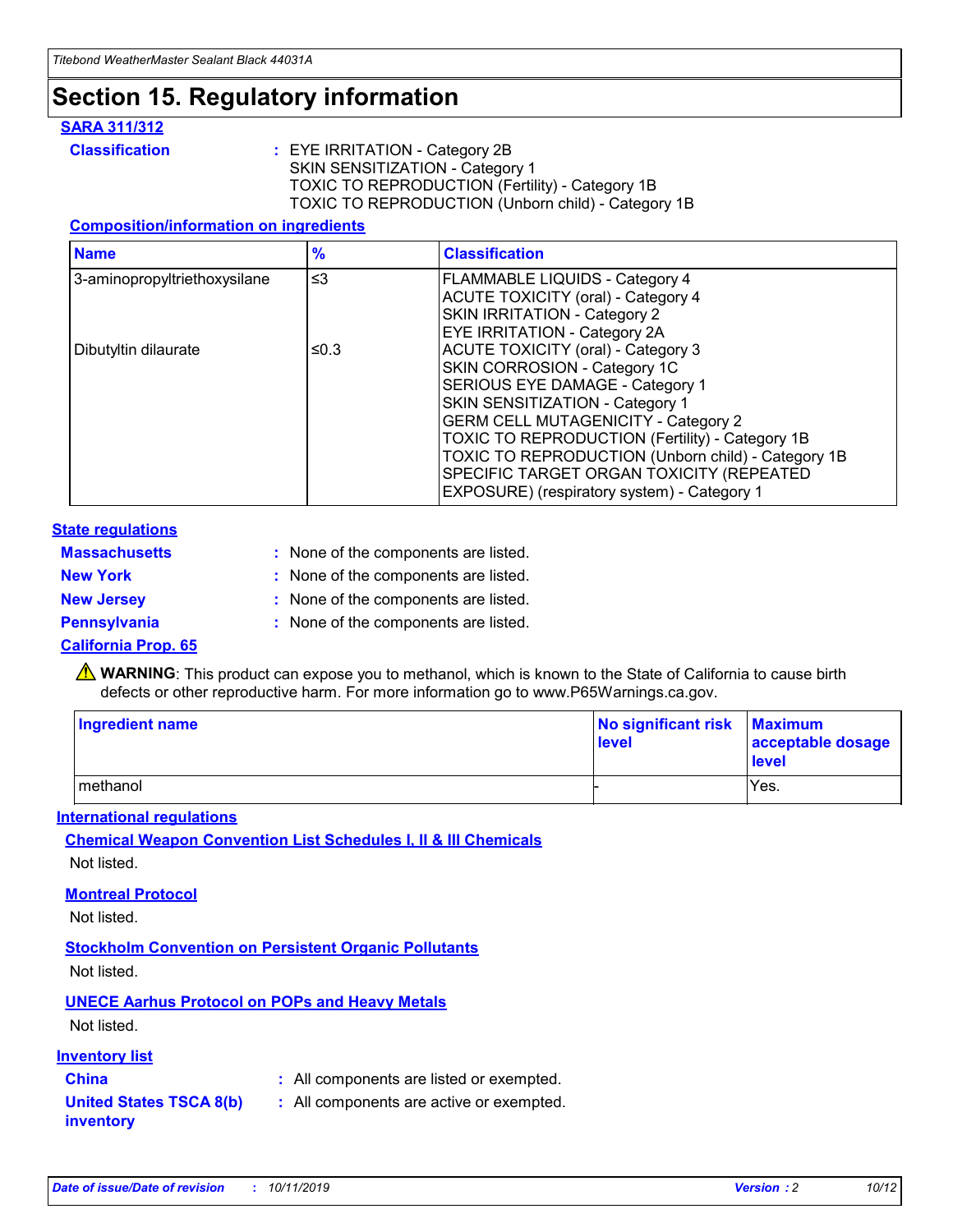## **Section 15. Regulatory information**

#### **SARA 311/312**

**Classification :** EYE IRRITATION - Category 2B SKIN SENSITIZATION - Category 1 TOXIC TO REPRODUCTION (Fertility) - Category 1B TOXIC TO REPRODUCTION (Unborn child) - Category 1B

### **Composition/information on ingredients**

| <b>Name</b>                              | $\frac{9}{6}$ | <b>Classification</b>                                                                                            |
|------------------------------------------|---------------|------------------------------------------------------------------------------------------------------------------|
| $\leq$ 3<br>3-aminopropyltriethoxysilane |               | <b>FLAMMABLE LIQUIDS - Category 4</b><br><b>ACUTE TOXICITY (oral) - Category 4</b>                               |
|                                          |               | SKIN IRRITATION - Category 2<br>EYE IRRITATION - Category 2A                                                     |
| Dibutyltin dilaurate                     | ≤0.3          | ACUTE TOXICITY (oral) - Category 3<br>SKIN CORROSION - Category 1C                                               |
|                                          |               | SERIOUS EYE DAMAGE - Category 1<br>SKIN SENSITIZATION - Category 1<br><b>GERM CELL MUTAGENICITY - Category 2</b> |
|                                          |               | TOXIC TO REPRODUCTION (Fertility) - Category 1B<br>TOXIC TO REPRODUCTION (Unborn child) - Category 1B            |
|                                          |               | SPECIFIC TARGET ORGAN TOXICITY (REPEATED<br>EXPOSURE) (respiratory system) - Category 1                          |

#### **State regulations**

| <b>Massachusetts</b> | : None of the components are listed. |
|----------------------|--------------------------------------|
| <b>New York</b>      | : None of the components are listed. |
| <b>New Jersey</b>    | : None of the components are listed. |
| <b>Pennsylvania</b>  | : None of the components are listed. |

#### **California Prop. 65**

**A** WARNING: This product can expose you to methanol, which is known to the State of California to cause birth defects or other reproductive harm. For more information go to www.P65Warnings.ca.gov.

| <b>Ingredient name</b> | No significant risk Maximum<br>level | acceptable dosage<br>level |
|------------------------|--------------------------------------|----------------------------|
| methanol               |                                      | Yes.                       |

#### **International regulations**

**Chemical Weapon Convention List Schedules I, II & III Chemicals** Not listed.

#### **Montreal Protocol**

Not listed.

**Stockholm Convention on Persistent Organic Pollutants**

Not listed.

### **UNECE Aarhus Protocol on POPs and Heavy Metals**

Not listed.

### **Inventory list**

### **China :** All components are listed or exempted.

**United States TSCA 8(b) inventory :** All components are active or exempted.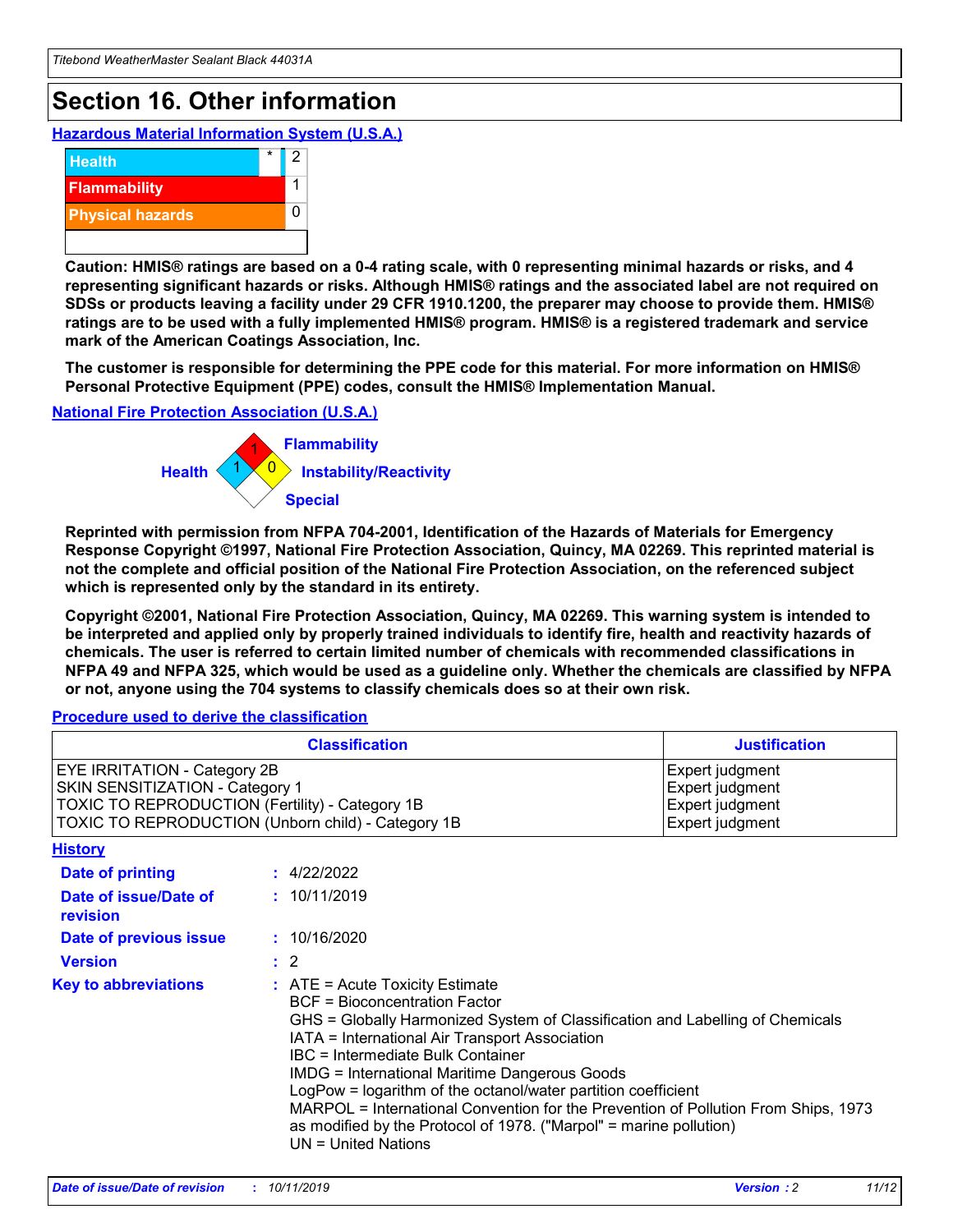## **Section 16. Other information**

**Hazardous Material Information System (U.S.A.)**



**Caution: HMIS® ratings are based on a 0-4 rating scale, with 0 representing minimal hazards or risks, and 4 representing significant hazards or risks. Although HMIS® ratings and the associated label are not required on SDSs or products leaving a facility under 29 CFR 1910.1200, the preparer may choose to provide them. HMIS® ratings are to be used with a fully implemented HMIS® program. HMIS® is a registered trademark and service mark of the American Coatings Association, Inc.**

**The customer is responsible for determining the PPE code for this material. For more information on HMIS® Personal Protective Equipment (PPE) codes, consult the HMIS® Implementation Manual.**

#### **National Fire Protection Association (U.S.A.)**



**Reprinted with permission from NFPA 704-2001, Identification of the Hazards of Materials for Emergency Response Copyright ©1997, National Fire Protection Association, Quincy, MA 02269. This reprinted material is not the complete and official position of the National Fire Protection Association, on the referenced subject which is represented only by the standard in its entirety.**

**Copyright ©2001, National Fire Protection Association, Quincy, MA 02269. This warning system is intended to be interpreted and applied only by properly trained individuals to identify fire, health and reactivity hazards of chemicals. The user is referred to certain limited number of chemicals with recommended classifications in NFPA 49 and NFPA 325, which would be used as a guideline only. Whether the chemicals are classified by NFPA or not, anyone using the 704 systems to classify chemicals does so at their own risk.**

**Procedure used to derive the classification**

| <b>Classification</b>                                                                                                                                                    |                                                                                                                                                  | <b>Justification</b>                                                                                                                                                                                                                                                                                                                                                                                                 |  |
|--------------------------------------------------------------------------------------------------------------------------------------------------------------------------|--------------------------------------------------------------------------------------------------------------------------------------------------|----------------------------------------------------------------------------------------------------------------------------------------------------------------------------------------------------------------------------------------------------------------------------------------------------------------------------------------------------------------------------------------------------------------------|--|
| EYE IRRITATION - Category 2B<br>SKIN SENSITIZATION - Category 1<br>TOXIC TO REPRODUCTION (Fertility) - Category 1B<br>TOXIC TO REPRODUCTION (Unborn child) - Category 1B |                                                                                                                                                  | Expert judgment<br>Expert judgment<br>Expert judgment<br>Expert judgment                                                                                                                                                                                                                                                                                                                                             |  |
| <b>History</b>                                                                                                                                                           |                                                                                                                                                  |                                                                                                                                                                                                                                                                                                                                                                                                                      |  |
| Date of printing                                                                                                                                                         | : 4/22/2022                                                                                                                                      |                                                                                                                                                                                                                                                                                                                                                                                                                      |  |
| Date of issue/Date of<br>revision                                                                                                                                        | : 10/11/2019                                                                                                                                     |                                                                                                                                                                                                                                                                                                                                                                                                                      |  |
| Date of previous issue                                                                                                                                                   | : 10/16/2020                                                                                                                                     |                                                                                                                                                                                                                                                                                                                                                                                                                      |  |
| <b>Version</b>                                                                                                                                                           | $\therefore$ 2                                                                                                                                   |                                                                                                                                                                                                                                                                                                                                                                                                                      |  |
| <b>Key to abbreviations</b>                                                                                                                                              | $\therefore$ ATE = Acute Toxicity Estimate<br><b>BCF</b> = Bioconcentration Factor<br>IBC = Intermediate Bulk Container<br>$UN = United Nations$ | GHS = Globally Harmonized System of Classification and Labelling of Chemicals<br>IATA = International Air Transport Association<br><b>IMDG = International Maritime Dangerous Goods</b><br>LogPow = logarithm of the octanol/water partition coefficient<br>MARPOL = International Convention for the Prevention of Pollution From Ships, 1973<br>as modified by the Protocol of 1978. ("Marpol" = marine pollution) |  |